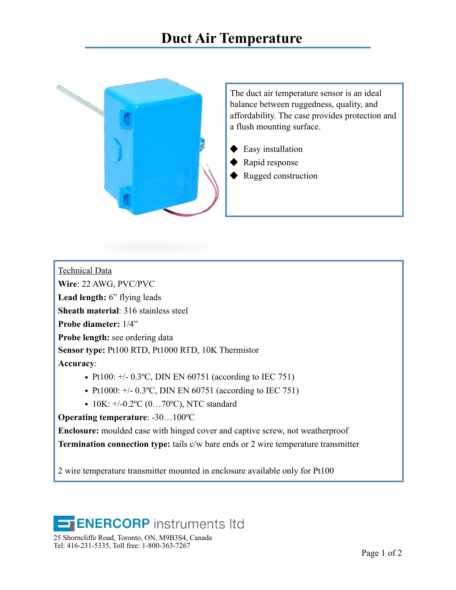# **Duct Air Temperature**



The duct air temperature sensor is an ideal balance between ruggedness, quality, and affordability. The case provides protection and a flush mounting surface.

- Easy installation
- Rapid response
- Rugged construction

Technical Data

**Wire**: 22 AWG, PVC/PVC

Lead length: 6" flying leads

**Sheath material**: 316 stainless steel

**Probe diameter:** 1/4"

**Probe length:** see ordering data

**Sensor type:** Pt100 RTD, Pt1000 RTD, 10K Thermistor

**Accuracy**:

- **•** Pt100: +/- 0.3ºC, DIN EN 60751 (according to IEC 751)
- **•** Pt1000: +/- 0.3ºC, DIN EN 60751 (according to IEC 751)
- 10K:  $+/-0.2$ <sup>o</sup>C (0...70<sup>o</sup>C), NTC standard

#### **Operating temperature**: -30…100ºC

**Enclosure:** moulded case with hinged cover and captive screw, not weatherproof

**Termination connection type:** tails c/w bare ends or 2 wire temperature transmitter

2 wire temperature transmitter mounted in enclosure available only for Pt100

## **ENERCORP** instruments Itd

25 Shorncliffe Road, Toronto, ON, M9B3S4, Canada Tel: 416-231-5335, Toll free: 1-800-363-7267